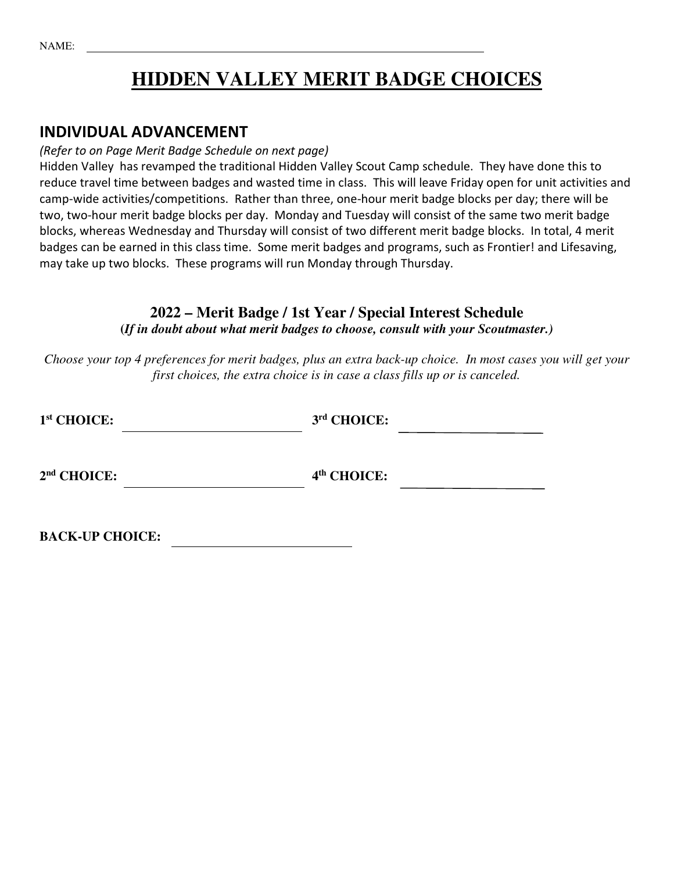NAME:

## **HIDDEN VALLEY MERIT BADGE CHOICES**

### INDIVIDUAL ADVANCEMENT

#### (Refer to on Page Merit Badge Schedule on next page)

Hidden Valley has revamped the traditional Hidden Valley Scout Camp schedule. They have done this to reduce travel time between badges and wasted time in class. This will leave Friday open for unit activities and camp-wide activities/competitions. Rather than three, one-hour merit badge blocks per day; there will be two, two-hour merit badge blocks per day. Monday and Tuesday will consist of the same two merit badge blocks, whereas Wednesday and Thursday will consist of two different merit badge blocks. In total, 4 merit badges can be earned in this class time. Some merit badges and programs, such as Frontier! and Lifesaving, may take up two blocks. These programs will run Monday through Thursday.

#### **2022 – Merit Badge / 1st Year / Special Interest Schedule (***If in doubt about what merit badges to choose, consult with your Scoutmaster.)*

*Choose your top 4 preferences for merit badges, plus an extra back-up choice. In most cases you will get your first choices, the extra choice is in case a class fills up or is canceled.* 

| 3rd CHOICE:             |
|-------------------------|
| 4 <sup>th</sup> CHOICE: |
|                         |

**BACK-UP CHOICE:**